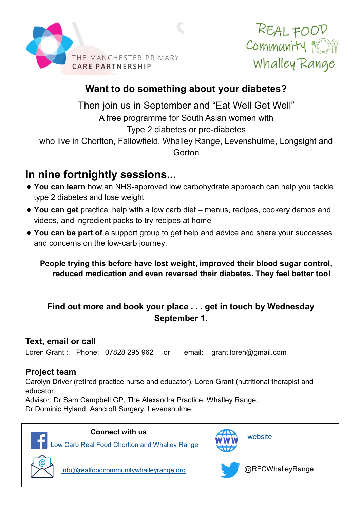



## **Want to do something about your diabetes?**

Then join us in September and "Eat Well Get Well" A free programme for South Asian women with Type 2 diabetes or pre-diabetes who live in Chorlton, Fallowfield, Whalley Range, Levenshulme, Longsight and **Gorton** 

# **In nine fortnightly sessions...**

- **You can learn** how an NHS-approved low carbohydrate approach can help you tackle type 2 diabetes and lose weight
- ◆ You can get practical help with a low carb diet menus, recipes, cookery demos and videos, and ingredient packs to try recipes at home
- ◆ You can be part of a support group to get help and advice and share your successes and concerns on the low-carb journey.

**People trying this before have lost weight, improved their blood sugar control, reduced medication and even reversed their diabetes. They feel better too!** 

### **Find out more and book your place . . . get in touch by Wednesday September 1.**

#### **Text, email or call**

Loren Grant : Phone: 07828 295 962 or email: grant.loren@gmail.com

#### **Project team**

Carolyn Driver (retired practice nurse and educator), Loren Grant (nutritional therapist and educator,

Advisor: Dr Sam Campbell GP, The Alexandra Practice, Whalley Range, Dr Dominic Hyland, Ashcroft Surgery, Levenshulme



#### **Connect with us**

[Low Carb Real Food Chorlton and Whalley Range](https://www.facebook.com/RFCWR/)



[website](https://www.realfoodcommunitywhalleyrange.org/)



[info@realfoodcommunitywhalleyrange.org](mailto:info@realfoodcommunitywhalleyrange.org)



@RFCWhalleyRange